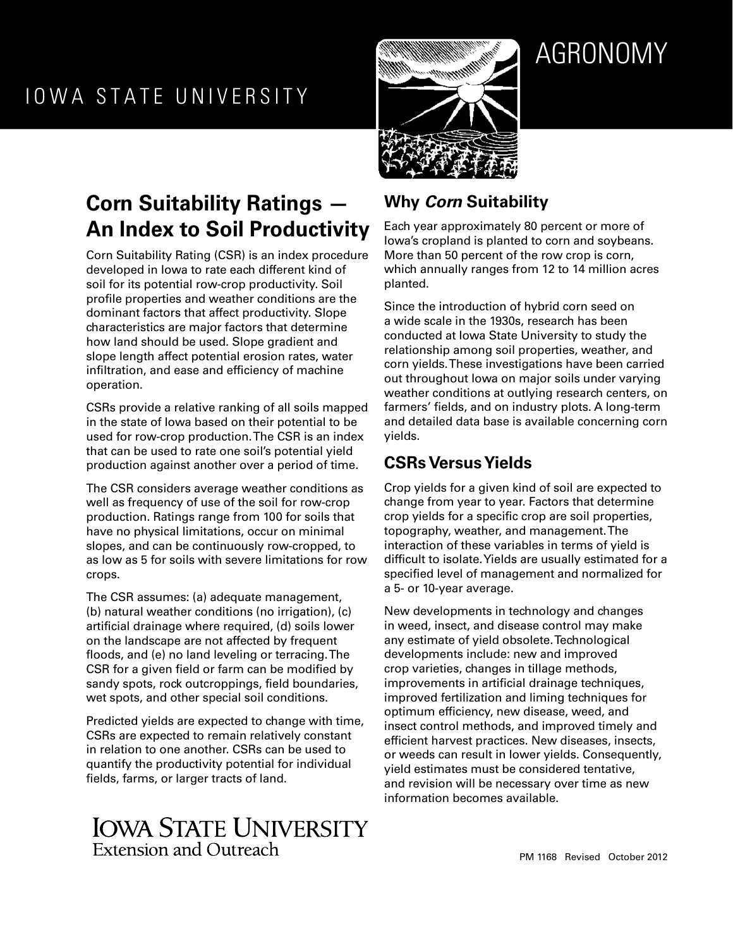# AGRONOMY

# **Corn Suitability Ratings — An Index to Soil Productivity**

Corn Suitability Rating (CSR) is an index procedure developed in Iowa to rate each different kind of soil for its potential row-crop productivity. Soil profile properties and weather conditions are the dominant factors that affect productivity. Slope characteristics are major factors that determine how land should be used. Slope gradient and slope length affect potential erosion rates, water infiltration, and ease and efficiency of machine operation.

CSRs provide a relative ranking of all soils mapped in the state of Iowa based on their potential to be used for row-crop production. The CSR is an index that can be used to rate one soil's potential yield production against another over a period of time.

The CSR considers average weather conditions as well as frequency of use of the soil for row-crop production. Ratings range from 100 for soils that have no physical limitations, occur on minimal slopes, and can be continuously row-cropped, to as low as 5 for soils with severe limitations for row crops.

The CSR assumes: (a) adequate management, (b) natural weather conditions (no irrigation), (c) artificial drainage where required, (d) soils lower on the landscape are not affected by frequent floods, and (e) no land leveling or terracing. The CSR for a given field or farm can be modified by sandy spots, rock outcroppings, field boundaries, wet spots, and other special soil conditions.

Predicted yields are expected to change with time, CSRs are expected to remain relatively constant in relation to one another. CSRs can be used to quantify the productivity potential for individual fields, farms, or larger tracts of land.

# **IOWA STATE UNIVERSITY** Extension and Outreach

# **Why** *Corn* **Suitability**

Each year approximately 80 percent or more of Iowa's cropland is planted to corn and soybeans. More than 50 percent of the row crop is corn, which annually ranges from 12 to 14 million acres planted.

Since the introduction of hybrid corn seed on a wide scale in the 1930s, research has been conducted at Iowa State University to study the relationship among soil properties, weather, and corn yields. These investigations have been carried out throughout Iowa on major soils under varying weather conditions at outlying research centers, on farmers' fields, and on industry plots. A long-term and detailed data base is available concerning corn yields.

## **CSRs Versus Yields**

Crop yields for a given kind of soil are expected to change from year to year. Factors that determine crop yields for a specific crop are soil properties, topography, weather, and management. The interaction of these variables in terms of yield is difficult to isolate. Yields are usually estimated for a specified level of management and normalized for a 5- or 10-year average.

New developments in technology and changes in weed, insect, and disease control may make any estimate of yield obsolete. Technological developments include: new and improved crop varieties, changes in tillage methods, improvements in artificial drainage techniques, improved fertilization and liming techniques for optimum efficiency, new disease, weed, and insect control methods, and improved timely and efficient harvest practices. New diseases, insects, or weeds can result in lower yields. Consequently, yield estimates must be considered tentative, and revision will be necessary over time as new information becomes available.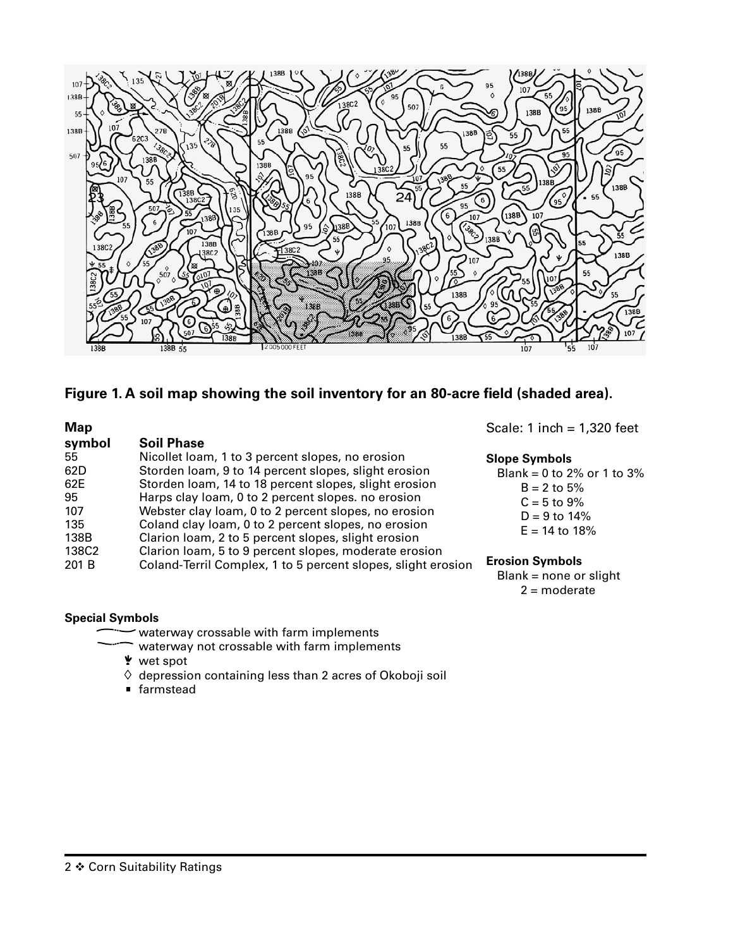

#### **Figure 1. A soil map showing the soil inventory for an 80-acre field (shaded area).**

| <b>Map</b> |                                                              | Scale: 1 inch = $1,320$                            |
|------------|--------------------------------------------------------------|----------------------------------------------------|
| symbol     | <b>Soil Phase</b>                                            |                                                    |
| 55         | Nicollet loam, 1 to 3 percent slopes, no erosion             | <b>Slope Symbols</b>                               |
| 62D        | Storden loam, 9 to 14 percent slopes, slight erosion         | Blank = 0 to 2% or 1 to                            |
| 62E        | Storden loam, 14 to 18 percent slopes, slight erosion        | $B = 2$ to 5%                                      |
| 95         | Harps clay loam, 0 to 2 percent slopes. no erosion           | $C = 5$ to 9%                                      |
| 107        | Webster clay loam, 0 to 2 percent slopes, no erosion         | $D = 9$ to 14%                                     |
| 135        | Coland clay loam, 0 to 2 percent slopes, no erosion          | $E = 14$ to 18%                                    |
| 138B       | Clarion loam, 2 to 5 percent slopes, slight erosion          |                                                    |
| 138C2      | Clarion loam, 5 to 9 percent slopes, moderate erosion        |                                                    |
| 201 B      | Coland-Terril Complex, 1 to 5 percent slopes, slight erosion | <b>Erosion Symbols</b><br>$Blank = none$ or slight |

#### **Special Symbols**

- waterway crossable with farm implements
	- waterway not crossable with farm implements
	- wet spot
	- $\Diamond$  depression containing less than 2 acres of Okoboji soil
	- farmstead

feet

 $to 3%$ 

ight 2 = moderate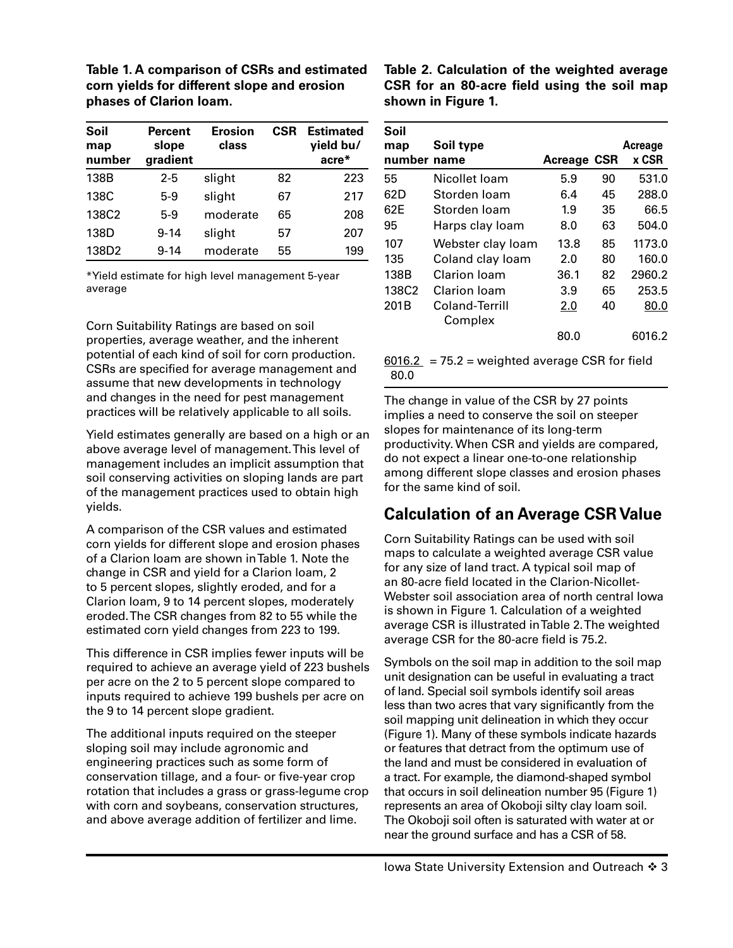**Table 1. A comparison of CSRs and estimated corn yields for different slope and erosion phases of Clarion loam.**

| Soil<br>map<br>number | <b>Percent</b><br>slope<br>gradient | <b>Erosion</b><br><b>CSR</b><br>class |    | <b>Estimated</b><br>yield bu/<br>acre* |
|-----------------------|-------------------------------------|---------------------------------------|----|----------------------------------------|
| 138B                  | $2 - 5$                             | slight                                | 82 | 223                                    |
| 138C                  | $5-9$                               | slight                                | 67 | 217                                    |
| 138C2                 | $5-9$                               | moderate                              | 65 | 208                                    |
| 138D                  | $9 - 14$                            | slight                                | 57 | 207                                    |
| 138D2                 | $9 - 14$                            | moderate                              | 55 | 199                                    |

\*Yield estimate for high level management 5-year average

Corn Suitability Ratings are based on soil properties, average weather, and the inherent potential of each kind of soil for corn production. CSRs are specified for average management and assume that new developments in technology and changes in the need for pest management practices will be relatively applicable to all soils.

Yield estimates generally are based on a high or an above average level of management. This level of management includes an implicit assumption that soil conserving activities on sloping lands are part of the management practices used to obtain high yields.

A comparison of the CSR values and estimated corn yields for different slope and erosion phases of a Clarion loam are shown in Table 1. Note the change in CSR and yield for a Clarion loam, 2 to 5 percent slopes, slightly eroded, and for a Clarion loam, 9 to 14 percent slopes, moderately eroded. The CSR changes from 82 to 55 while the estimated corn yield changes from 223 to 199.

This difference in CSR implies fewer inputs will be required to achieve an average yield of 223 bushels per acre on the 2 to 5 percent slope compared to inputs required to achieve 199 bushels per acre on the 9 to 14 percent slope gradient.

The additional inputs required on the steeper sloping soil may include agronomic and engineering practices such as some form of conservation tillage, and a four- or five-year crop rotation that includes a grass or grass-legume crop with corn and soybeans, conservation structures, and above average addition of fertilizer and lime.

**Table 2. Calculation of the weighted average CSR for an 80-acre field using the soil map shown in Figure 1.**

| Soil<br>map<br>number name | Soil type                 | <b>Acreage</b> | CSR | Acreage<br>x CSR |
|----------------------------|---------------------------|----------------|-----|------------------|
| 55                         | Nicollet Ioam             | 5.9            | 90  | 531.0            |
| 62D                        | Storden Ioam              | 6.4            | 45  | 288.0            |
| 62E                        | Storden loam              | 1.9            | 35  | 66.5             |
| 95                         | Harps clay loam           | 8.0            | 63  | 504.0            |
| 107                        | Webster clay loam         | 13.8           | 85  | 1173.0           |
| 135                        | Coland clay loam          | 2.0            | 80  | 160.0            |
| 138B                       | Clarion Ioam              | 36.1           | 82  | 2960.2           |
| 138C2                      | Clarion Ioam              | 3.9            | 65  | 253.5            |
| 201B                       | Coland-Terrill<br>Complex | 2.0            | 40  | 80.0             |
|                            |                           | 80.0           |     | 6016.2           |

 $6016.2$  = 75.2 = weighted average CSR for field 80.0

The change in value of the CSR by 27 points implies a need to conserve the soil on steeper slopes for maintenance of its long-term productivity. When CSR and yields are compared, do not expect a linear one-to-one relationship among different slope classes and erosion phases for the same kind of soil.

#### **Calculation of an Average CSR Value**

Corn Suitability Ratings can be used with soil maps to calculate a weighted average CSR value for any size of land tract. A typical soil map of an 80-acre field located in the Clarion-Nicollet-Webster soil association area of north central Iowa is shown in Figure 1. Calculation of a weighted average CSR is illustrated in Table 2. The weighted average CSR for the 80-acre field is 75.2.

Symbols on the soil map in addition to the soil map unit designation can be useful in evaluating a tract of land. Special soil symbols identify soil areas less than two acres that vary significantly from the soil mapping unit delineation in which they occur (Figure 1). Many of these symbols indicate hazards or features that detract from the optimum use of the land and must be considered in evaluation of a tract. For example, the diamond-shaped symbol that occurs in soil delineation number 95 (Figure 1) represents an area of Okoboji silty clay loam soil. The Okoboji soil often is saturated with water at or near the ground surface and has a CSR of 58.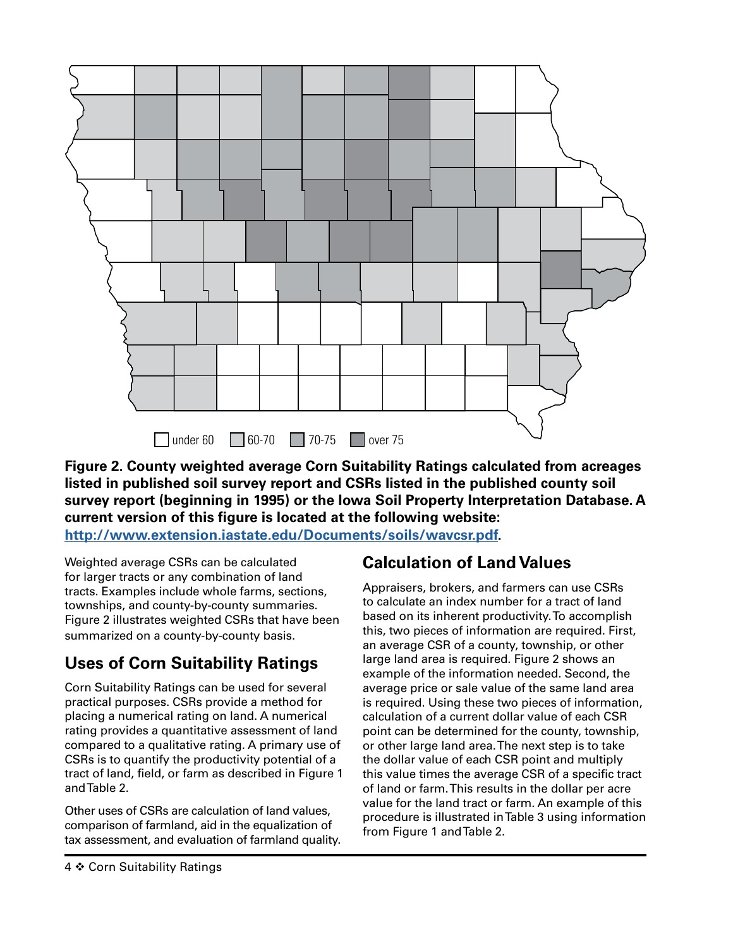

**Figure 2. County weighted average Corn Suitability Ratings calculated from acreages listed in published soil survey report and CSRs listed in the published county soil survey report (beginning in 1995) or the Iowa Soil Property Interpretation Database. A current version of this figure is located at the following website: [http://www.extension.iastate.edu/Documents/soils/wavcsr.pdf.](http://www.extension.iastate.edu/Documents/soils/wavcsr.pdf)**

Weighted average CSRs can be calculated for larger tracts or any combination of land tracts. Examples include whole farms, sections, townships, and county-by-county summaries. Figure 2 illustrates weighted CSRs that have been summarized on a county-by-county basis.

## **Uses of Corn Suitability Ratings**

Corn Suitability Ratings can be used for several practical purposes. CSRs provide a method for placing a numerical rating on land. A numerical rating provides a quantitative assessment of land compared to a qualitative rating. A primary use of CSRs is to quantify the productivity potential of a tract of land, field, or farm as described in Figure 1 and Table 2.

Other uses of CSRs are calculation of land values, comparison of farmland, aid in the equalization of tax assessment, and evaluation of farmland quality.

#### **Calculation of Land Values**

Appraisers, brokers, and farmers can use CSRs to calculate an index number for a tract of land based on its inherent productivity. To accomplish this, two pieces of information are required. First, an average CSR of a county, township, or other large land area is required. Figure 2 shows an example of the information needed. Second, the average price or sale value of the same land area is required. Using these two pieces of information, calculation of a current dollar value of each CSR point can be determined for the county, township, or other large land area. The next step is to take the dollar value of each CSR point and multiply this value times the average CSR of a specific tract of land or farm. This results in the dollar per acre value for the land tract or farm. An example of this procedure is illustrated in Table 3 using information from Figure 1 and Table 2.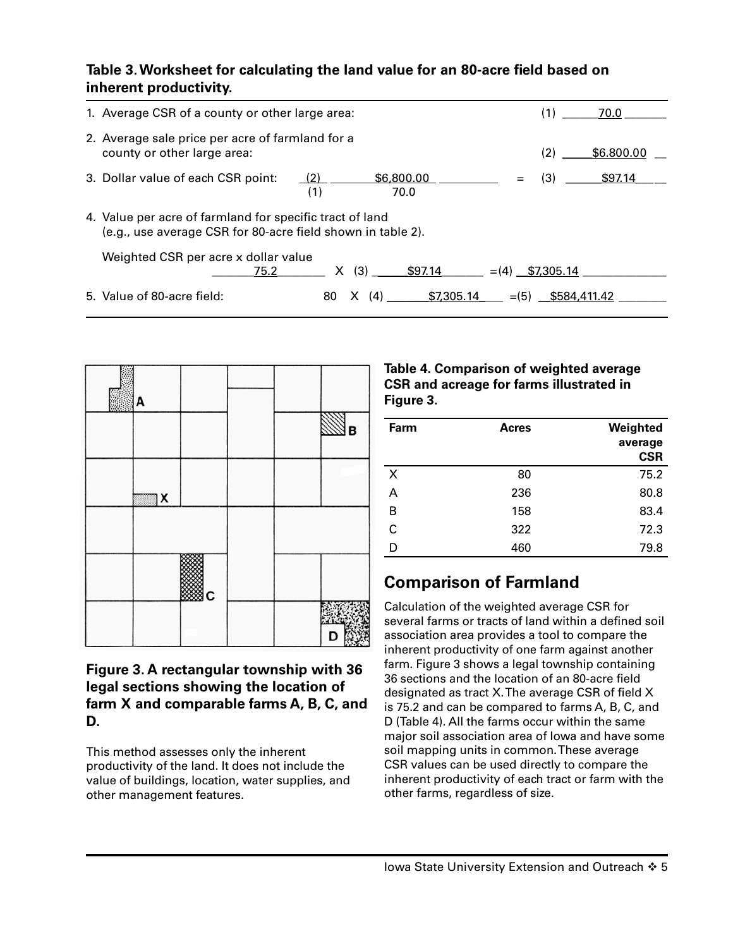#### **Table 3. Worksheet for calculating the land value for an 80-acre field based on inherent productivity.**

| 1. Average CSR of a county or other large area:                                                                         |     |     |               |  |         | (1)               | 70.0       |
|-------------------------------------------------------------------------------------------------------------------------|-----|-----|---------------|--|---------|-------------------|------------|
| 2. Average sale price per acre of farmland for a                                                                        |     |     |               |  |         |                   |            |
| county or other large area:                                                                                             |     |     |               |  |         | (2)               | \$6.800.00 |
| 3. Dollar value of each CSR point:                                                                                      | (2) |     | \$6,800.00    |  |         | (3)               | \$97.14    |
| (1)                                                                                                                     |     |     | 70.0          |  |         |                   |            |
| 4. Value per acre of farmland for specific tract of land<br>(e.g., use average CSR for 80-acre field shown in table 2). |     |     |               |  |         |                   |            |
| Weighted CSR per acre x dollar value                                                                                    |     |     |               |  |         |                   |            |
| 75.2                                                                                                                    | X.  |     | $(3)$ \$97.14 |  |         | $=(4)$ \$7,305.14 |            |
| 5. Value of 80-acre field:                                                                                              | 80  | (4) | \$7,305.14    |  | $= (5)$ | \$584,411,42      |            |



#### **Figure 3. A rectangular township with 36 legal sections showing the location of farm X and comparable farms A, B, C, and D.**

This method assesses only the inherent productivity of the land. It does not include the value of buildings, location, water supplies, and other management features.

#### **Table 4. Comparison of weighted average CSR and acreage for farms illustrated in Figure 3.**

| Farm | <b>Acres</b> | Weighted<br>average<br><b>CSR</b> |
|------|--------------|-----------------------------------|
| X    | 80           | 75.2                              |
| А    | 236          | 80.8                              |
| в    | 158          | 83.4                              |
| C    | 322          | 72.3                              |
| D    | 460          | 79.8                              |

# **Comparison of Farmland**

Calculation of the weighted average CSR for several farms or tracts of land within a defined soil association area provides a tool to compare the inherent productivity of one farm against another farm. Figure 3 shows a legal township containing 36 sections and the location of an 80-acre field designated as tract X. The average CSR of field X is 75.2 and can be compared to farms A, B, C, and D (Table 4). All the farms occur within the same major soil association area of Iowa and have some soil mapping units in common. These average CSR values can be used directly to compare the inherent productivity of each tract or farm with the other farms, regardless of size.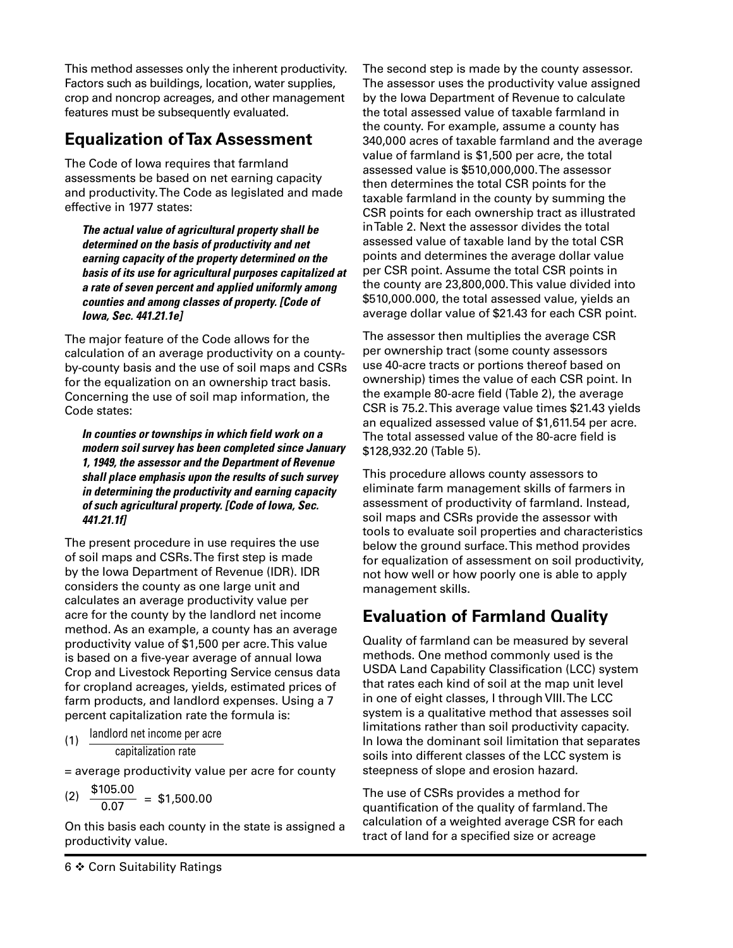This method assesses only the inherent productivity. Factors such as buildings, location, water supplies, crop and noncrop acreages, and other management features must be subsequently evaluated.

#### **Equalization of Tax Assessment**

The Code of Iowa requires that farmland assessments be based on net earning capacity and productivity. The Code as legislated and made effective in 1977 states:

*The actual value of agricultural property shall be determined on the basis of productivity and net earning capacity of the property determined on the basis of its use for agricultural purposes capitalized at a rate of seven percent and applied uniformly among counties and among classes of property. [Code of Iowa, Sec. 441.21.1e]*

The major feature of the Code allows for the calculation of an average productivity on a countyby-county basis and the use of soil maps and CSRs for the equalization on an ownership tract basis. Concerning the use of soil map information, the Code states:

*In counties or townships in which field work on a modern soil survey has been completed since January 1, 1949, the assessor and the Department of Revenue shall place emphasis upon the results of such survey in determining the productivity and earning capacity of such agricultural property. [Code of Iowa, Sec. 441.21.1f]*

The present procedure in use requires the use of soil maps and CSRs. The first step is made by the Iowa Department of Revenue (IDR). IDR considers the county as one large unit and calculates an average productivity value per acre for the county by the landlord net income method. As an example, a county has an average productivity value of \$1,500 per acre. This value is based on a five-year average of annual Iowa Crop and Livestock Reporting Service census data for cropland acreages, yields, estimated prices of farm products, and landlord expenses. Using a 7 percent capitalization rate the formula is:

(1) landlord net income per acre capitalization rate

= average productivity value per acre for county

(2)  $\frac{$105.00}{$0.07} = $1,500.00$ 

On this basis each county in the state is assigned a productivity value.

The second step is made by the county assessor. The assessor uses the productivity value assigned by the Iowa Department of Revenue to calculate the total assessed value of taxable farmland in the county. For example, assume a county has 340,000 acres of taxable farmland and the average value of farmland is \$1,500 per acre, the total assessed value is \$510,000,000. The assessor then determines the total CSR points for the taxable farmland in the county by summing the CSR points for each ownership tract as illustrated in Table 2. Next the assessor divides the total assessed value of taxable land by the total CSR points and determines the average dollar value per CSR point. Assume the total CSR points in the county are 23,800,000. This value divided into \$510,000.000, the total assessed value, yields an average dollar value of \$21.43 for each CSR point.

The assessor then multiplies the average CSR per ownership tract (some county assessors use 40-acre tracts or portions thereof based on ownership) times the value of each CSR point. In the example 80-acre field (Table 2), the average CSR is 75.2. This average value times \$21.43 yields an equalized assessed value of \$1,611.54 per acre. The total assessed value of the 80-acre field is \$128,932.20 (Table 5).

This procedure allows county assessors to eliminate farm management skills of farmers in assessment of productivity of farmland. Instead, soil maps and CSRs provide the assessor with tools to evaluate soil properties and characteristics below the ground surface. This method provides for equalization of assessment on soil productivity, not how well or how poorly one is able to apply management skills.

#### **Evaluation of Farmland Quality**

Quality of farmland can be measured by several methods. One method commonly used is the USDA Land Capability Classification (LCC) system that rates each kind of soil at the map unit level in one of eight classes, I through VIII. The LCC system is a qualitative method that assesses soil limitations rather than soil productivity capacity. In Iowa the dominant soil limitation that separates soils into different classes of the LCC system is steepness of slope and erosion hazard.

The use of CSRs provides a method for quantification of the quality of farmland. The calculation of a weighted average CSR for each tract of land for a specified size or acreage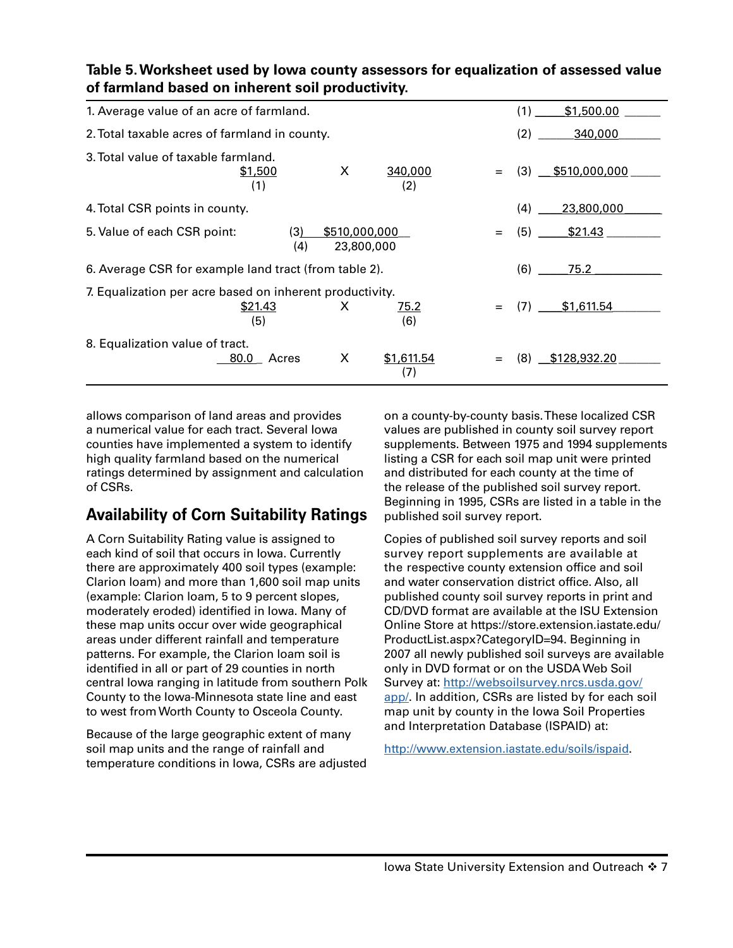| 1. Average value of an acre of farmland.                 |                |                             |                    |     | (1) | \$1,500.00          |
|----------------------------------------------------------|----------------|-----------------------------|--------------------|-----|-----|---------------------|
| 2. Total taxable acres of farmland in county.            |                | (2)                         | 340,000            |     |     |                     |
| 3. Total value of taxable farmland.                      | \$1,500<br>(1) | X                           | 340,000<br>(2)     |     |     | $(3)$ \$510,000,000 |
| 4. Total CSR points in county.                           |                |                             |                    |     | (4) | 23,800,000          |
| 5. Value of each CSR point:                              | (3)<br>(4)     | \$510,000,000<br>23,800,000 |                    | $=$ | (5) | \$21.43             |
| 6. Average CSR for example land tract (from table 2).    |                |                             |                    |     | (6) | 75.2                |
| 7. Equalization per acre based on inherent productivity. | \$21.43<br>(5) | X                           | <u>75.2</u><br>(6) | $=$ | (7) | \$1,611.54          |
| 8. Equalization value of tract.                          | 80.0 Acres     | X                           | \$1,611.54<br>(7)  |     | (8) | \$128,932.20        |

**Table 5. Worksheet used by Iowa county assessors for equalization of assessed value of farmland based on inherent soil productivity.**

allows comparison of land areas and provides a numerical value for each tract. Several Iowa counties have implemented a system to identify high quality farmland based on the numerical ratings determined by assignment and calculation of CSRs.

#### **Availability of Corn Suitability Ratings**

A Corn Suitability Rating value is assigned to each kind of soil that occurs in Iowa. Currently there are approximately 400 soil types (example: Clarion loam) and more than 1,600 soil map units (example: Clarion loam, 5 to 9 percent slopes, moderately eroded) identified in Iowa. Many of these map units occur over wide geographical areas under different rainfall and temperature patterns. For example, the Clarion loam soil is identified in all or part of 29 counties in north central Iowa ranging in latitude from southern Polk County to the Iowa-Minnesota state line and east to west from Worth County to Osceola County.

Because of the large geographic extent of many soil map units and the range of rainfall and temperature conditions in Iowa, CSRs are adjusted

on a county-by-county basis. These localized CSR values are published in county soil survey report supplements. Between 1975 and 1994 supplements listing a CSR for each soil map unit were printed and distributed for each county at the time of the release of the published soil survey report. Beginning in 1995, CSRs are listed in a table in the published soil survey report.

Copies of published soil survey reports and soil survey report supplements are available at the respective county extension office and soil and water conservation district office. Also, all published county soil survey reports in print and CD/DVD format are available at the ISU Extension Online Store at https://store.extension.iastate.edu/ ProductList.aspx?CategoryID=94. Beginning in 2007 all newly published soil surveys are available only in DVD format or on the USDA Web Soil Survey at: [http://websoilsurvey.nrcs.usda.gov/](http://websoilsurvey.nrcs.usda.gov/app/) [app/.](http://websoilsurvey.nrcs.usda.gov/app/) In addition, CSRs are listed by for each soil map unit by county in the Iowa Soil Properties and Interpretation Database (ISPAID) at:

<http://www.extension.iastate.edu/soils/ispaid>.